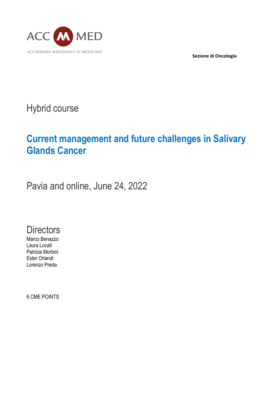

**Sezione di Oncologia**

Hybrid course

# **Current management and future challenges in Salivary Glands Cancer**

Pavia and online, June 24, 2022

**Directors** 

Marco Benazzo Laura Locati Patrizia Morbini Ester Orlandi Lorenzo Preda

6 CME POINTS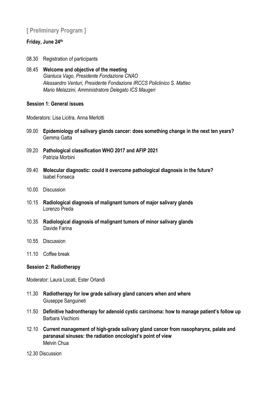# **[ Preliminary Program ]**

#### **Friday, June 24th**

- 08.30 Registration of participants
- 08.45 **Welcome and objective of the meeting** *Gianluca Vago, Presidente Fondazione CNAO Alessandro Venturi, Presidente Fondazione IRCCS Policlinico S. Matteo Mario Melazzini, Amministratore Delegato ICS Maugeri*

#### **Session 1: General issues**

Moderators: Lisa Licitra, Anna Merlotti

- 09.00 **Epidemiology of salivary glands cancer: does something change in the next ten years?** Gemma Gatta
- 09.20 **Pathological classification WHO 2017 and AFIP 2021** Patrizia Morbini
- 09.40 **Molecular diagnostic: could it overcome pathological diagnosis in the future?** Isabel Fonseca
- 10.00 Discussion
- 10.15 **Radiological diagnosis of malignant tumors of major salivary glands** Lorenzo Preda
- 10.35 **Radiological diagnosis of malignant tumors of minor salivary glands** Davide Farina
- 10.55 Discussion
- 11.10 Coffee break

#### **Session 2: Radiotherapy**

Moderator: Laura Locati, Ester Orlandi

- 11.30 **Radiotherapy for low grade salivary gland cancers when and where** Giuseppe Sanguineti
- 11.50 **Definitive hadrontherapy for adenoid cystic carcinoma: how to manage patient's follow up** Barbara Vischioni
- 12.10 **Current management of high-grade salivary gland cancer from nasopharynx, palate and paranasal sinuses: the radiation oncologist's point of view** Melvin Chua
- 12.30 Discussion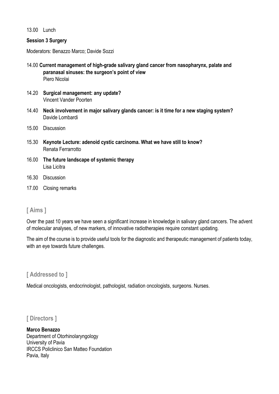13.00 Lunch

#### **Session 3 Surgery**

Moderators: Benazzo Marco; Davide Sozzi

- 14.00 **Current management of high-grade salivary gland cancer from nasopharynx, palate and paranasal sinuses: the surgeon's point of view** Piero Nicolai
- 14.20 **Surgical management: any update?** Vincent Vander Poorten
- 14.40 **Neck involvement in major salivary glands cancer: is it time for a new staging system?**  Davide Lombardi
- 15.00 Discussion
- 15.30 **Keynote Lecture: adenoid cystic carcinoma. What we have still to know?** Renata Ferrarrotto
- 16.00 **The future landscape of systemic therapy** Lisa Licitra
- 16.30 Discussion
- 17.00 Closing remarks

## **[ Aims ]**

Over the past 10 years we have seen a significant increase in knowledge in salivary gland cancers. The advent of molecular analyses, of new markers, of innovative radiotherapies require constant updating.

The aim of the course is to provide useful tools for the diagnostic and therapeutic management of patients today, with an eye towards future challenges.

## **[ Addressed to ]**

Medical oncologists, endocrinologist, pathologist, radiation oncologists, surgeons. Nurses.

## **[ Directors ]**

**Marco Benazzo** Department of Otorhinolaryngology University of Pavia IRCCS Policlinico San Matteo Foundation Pavia, Italy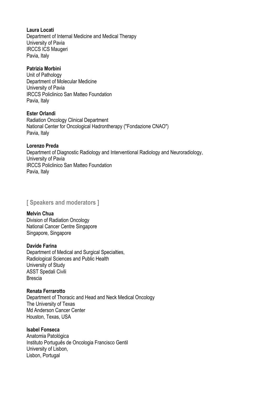**Laura Locati** Department of Internal Medicine and Medical Therapy University of Pavia IRCCS ICS Maugeri Pavia, Italy

#### **Patrizia Morbini**

Unit of Pathology Department of Molecular Medicine University of Pavia IRCCS Policlinico San Matteo Foundation Pavia, Italy

#### **Ester Orlandi**

Radiation Oncology Clinical Department National Center for Oncological Hadrontherapy ("Fondazione CNAO") Pavia, Italy

#### **Lorenzo Preda**

Department of Diagnostic Radiology and Interventional Radiology and Neuroradiology, University of Pavia IRCCS Policlinico San Matteo Foundation Pavia, Italy

**[ Speakers and moderators ]**

#### **Melvin Chua**

Division of Radiation Oncology National Cancer Centre Singapore Singapore, Singapore

#### **Davide Farina**

Department of Medical and Surgical Specialties, Radiological Sciences and Public Health University of Study ASST Spedali Civili Brescia

#### **Renata Ferrarotto**

Department of Thoracic and Head and Neck Medical Oncology The University of Texas Md Anderson Cancer Center Houston, Texas, USA

#### **Isabel Fonseca**

Anatomia Patológica Instituto Português de Oncologia Francisco Gentil University of Lisbon, Lisbon, Portugal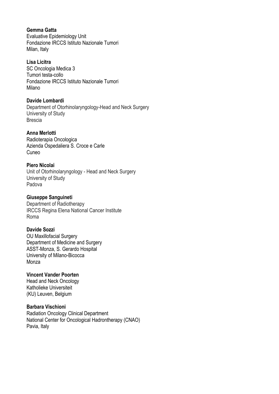#### **Gemma Gatta**

Evaluative Epidemiology Unit Fondazione IRCCS Istituto Nazionale Tumori Milan, Italy

#### **Lisa Licitra**

SC Oncologia Medica 3 Tumori testa-collo Fondazione IRCCS Istituto Nazionale Tumori Milano

#### **Davide Lombardi**

Department of Otorhinolaryngology-Head and Neck Surgery University of Study Brescia

#### **Anna Merlotti**

Radioterapia Oncologica Azienda Ospedaliera S. Croce e Carle Cuneo

#### **Piero Nicolai**

Unit of Otorhinolaryngology - Head and Neck Surgery University of Study Padova

#### **Giuseppe Sanguineti**

Department of Radiotherapy IRCCS Regina Elena National Cancer Institute Roma

#### **Davide Sozzi**

OU Maxillofacial Surgery Department of Medicine and Surgery ASST-Monza, S. Gerardo Hospital University of Milano-Bicocca Monza

#### **Vincent Vander Poorten**

Head and Neck Oncology Katholieke Universiteit (KU) Leuven, Belgium

#### **Barbara Vischioni**

Radiation Oncology Clinical Department National Center for Oncological Hadrontherapy (CNAO) Pavia, Italy